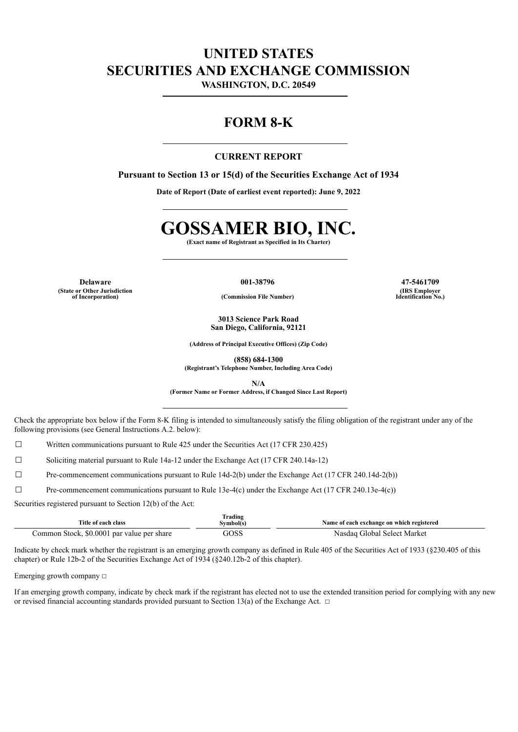# **UNITED STATES SECURITIES AND EXCHANGE COMMISSION**

**WASHINGTON, D.C. 20549**

# **FORM 8-K**

## **CURRENT REPORT**

**Pursuant to Section 13 or 15(d) of the Securities Exchange Act of 1934**

**Date of Report (Date of earliest event reported): June 9, 2022**

# **GOSSAMER BIO, INC.**

**(Exact name of Registrant as Specified in Its Charter)**

**Delaware 001-38796 47-5461709 (State or Other Jurisdiction**

**(IRS Employer Identification No.)**

**of Incorporation) (Commission File Number)**

**3013 Science Park Road San Diego, California, 92121**

**(Address of Principal Executive Offices) (Zip Code)**

**(858) 684-1300**

**(Registrant's Telephone Number, Including Area Code)**

**N/A**

**(Former Name or Former Address, if Changed Since Last Report)**

Check the appropriate box below if the Form 8-K filing is intended to simultaneously satisfy the filing obligation of the registrant under any of the following provisions (see General Instructions A.2. below):

 $\Box$  Written communications pursuant to Rule 425 under the Securities Act (17 CFR 230.425)

☐ Soliciting material pursuant to Rule 14a-12 under the Exchange Act (17 CFR 240.14a-12)

☐ Pre-commencement communications pursuant to Rule 14d-2(b) under the Exchange Act (17 CFR 240.14d-2(b))

☐ Pre-commencement communications pursuant to Rule 13e-4(c) under the Exchange Act (17 CFR 240.13e-4(c))

Securities registered pursuant to Section 12(b) of the Act:

| Title of each class                        | Trading<br>Svmbol(s) | Name of each exchange on which registered |  |
|--------------------------------------------|----------------------|-------------------------------------------|--|
| Common Stock, \$0,0001 par value per share | GOSS                 | Nasdag Global Select Market               |  |

Indicate by check mark whether the registrant is an emerging growth company as defined in Rule 405 of the Securities Act of 1933 (§230.405 of this chapter) or Rule 12b-2 of the Securities Exchange Act of 1934 (§240.12b-2 of this chapter).

Emerging growth company  $□$ 

If an emerging growth company, indicate by check mark if the registrant has elected not to use the extended transition period for complying with any new or revised financial accounting standards provided pursuant to Section 13(a) of the Exchange Act.  $\Box$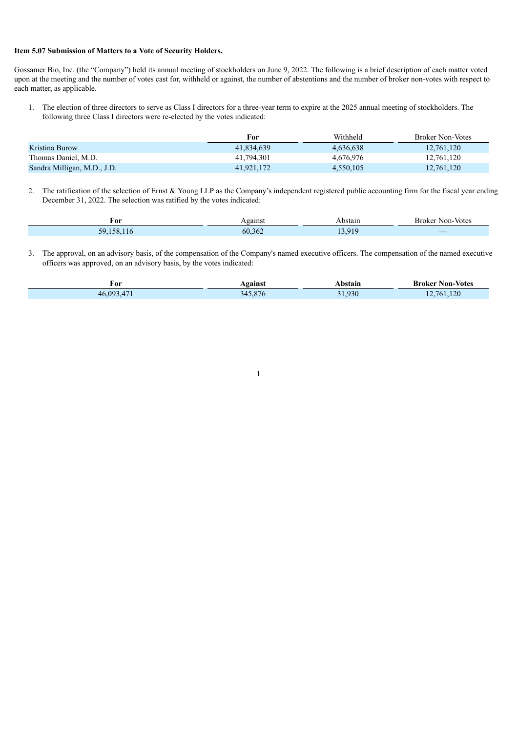#### **Item 5.07 Submission of Matters to a Vote of Security Holders.**

Gossamer Bio, Inc. (the "Company") held its annual meeting of stockholders on June 9, 2022. The following is a brief description of each matter voted upon at the meeting and the number of votes cast for, withheld or against, the number of abstentions and the number of broker non-votes with respect to each matter, as applicable.

1. The election of three directors to serve as Class I directors for a three-year term to expire at the 2025 annual meeting of stockholders. The following three Class I directors were re-elected by the votes indicated:

|                             | For        | Withheld  | <b>Broker Non-Votes</b> |
|-----------------------------|------------|-----------|-------------------------|
| Kristina Burow              | 41.834.639 | 4.636.638 | 12.761.120              |
| Thomas Daniel, M.D.         | 41.794.301 | 4.676.976 | 12.761.120              |
| Sandra Milligan, M.D., J.D. | 41,921,172 | 4,550,105 | 12.761.120              |

2. The ratification of the selection of Ernst & Young LLP as the Company's independent registered public accounting firm for the fiscal year ending December 31, 2022. The selection was ratified by the votes indicated:

| For                      | 0.01380<br>___ | stail.<br>. | Non-Votes<br>Broker<br>. |
|--------------------------|----------------|-------------|--------------------------|
| 50<br>٦X<br>$\sim$<br>__ | 60<br>36.<br>. | $ -$        | _                        |

3. The approval, on an advisory basis, of the compensation of the Company's named executive officers. The compensation of the named executive officers was approved, on an advisory basis, by the votes indicated:

| For        | Against | Abstain | <b>Broker Non-Votes</b> |
|------------|---------|---------|-------------------------|
| 46,093,471 | 345,876 | 31,930  | 2,761,120               |

1